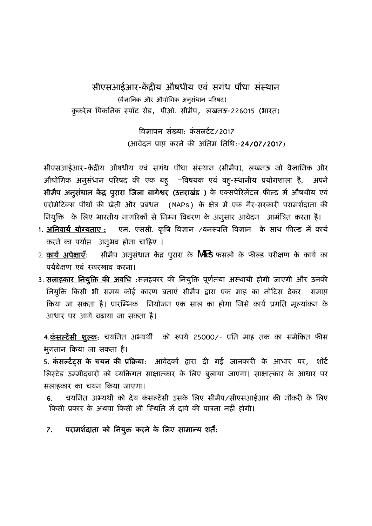सीएसआईआर-केंद्रीय औषधीय एवं सगंध पौधा संस्थान (वैज्ञानिक और औद्योगिक अनुसंधान परिषद) कुकरेल पिकनिक स्पॉट रोड, पीओ. सीमैप, लखनऊ-226015 (भारत)

> विज्ञापन संख्या: कंसलटेंट/2017 (आवेदन ूाप्त करने की अंितम ितिथ:-2**4**/07/2017)

सीएसआईआर-केंद्रीय औषधीय एवं सगंध पौधा संस्थान (सीमैप), लखनऊ जो वैज्ञानिक और औद्योगिक अनुसंधान परिषद की एक बहु —विषयक एव बहु-स्थानीय प्रयोगशाला है, अपने सीमैप अनुसंधान केंद्र पुरारा जिला बागेश्वर (उत्तराखंड ) के एक्सपेरिमेंटल फील्ड में औषधीय एवं एरोमेटिक्स पौधों की खेती और प्रबंधन (MAPs) के क्षेत्र में एक गैर-सरकारी परामर्शदाता की नियुक्ति के लिए भारतीय नागरिकों से निम्न विवरण के अनुसार आवेदन आमंत्रित करता है।

- 1. अनिवार्य योग्यताए : एम. एससी. कृषि विज्ञान /वनस्पति विज्ञान के साथ फील्ड में कार्य करने का पर्याप्त अनुभव होना चाहिए ।
- 2. <u>कार्य अपेक्षाएँ</u>: सीमैप अनुसंधान केंद्र पुरारा के **MRS** फसलों के फील्ड परीक्षण के कार्य का पर्यवेक्षण एवं रखरखाव करना।
- 3. सलाहकार नियुक्ति की अवधि :सलहकार की नियुक्ति पूर्णतया अस्थायी होगी जाएगी और उनकी िनयिक्तु िकसी भी समय कोई कारण बताएं सीमपै द्वारा एक माह का नोिटस देकर समाप्त किया जा सकता है। प्रारम्भिक नियोजन एक साल का होगा जिसे कार्य प्रगति मूल्यांकन के आधार पर आगे बढ़ाया जा सकता है।

4.<u>कं**सल्टेंसी शुल्क:** चयनित अभ्यर्थी को रुपये 25000/- प्रति माह तक का समेकित फीस</u> भुगतान किया जा सकता है।

5. कंसल्टेंट्स के चयन की प्रक्रिया: आवेदकों द्वारा दी गई जानकारी के आधार पर, शॉर्ट िलःटेड उम्मीदवारों को व्यिक्तगत साक्षात्कार के िलए बुलाया जाएगा। साक्षात्कार के आधार पर सलाहकार का चयन िकया जाएगा।

6. वयनित अभ्यर्थी को देय कंसल्टेंसी उसके लिए सीमैप/सीएसआईआर की नौकरी के लिए किसी प्रकार के अथवा किसी भी स्थिति में दावे की पात्रता नहीं होगी।

#### 7. परामर्शदाता को नियुक्त करने के लिए सामान्य शर्ते<u>:</u> ेर्ं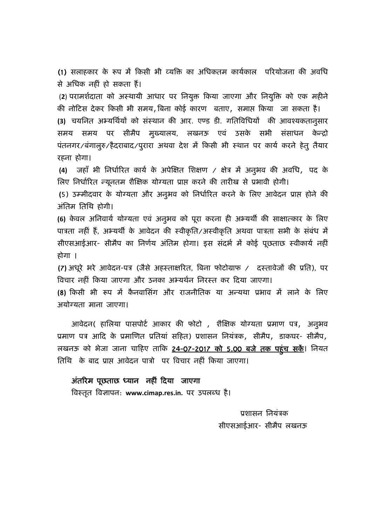(1) सलाहकार के रूप में किसी भी व्यक्ति का अधिकतम कार्यकाल परियोजना की अवधि से अिधक नहीं हो सकता हैं।

(2) परामर्शदाता को अस्थायी आधार पर नियुक्त किया जाएगा और नियुक्ति को एक महीने की नोिटस देकर िकसी भी समय,िबना कोई कारण बताए, समाप्त िकया जा सकता है।

(3) चयनित अभ्यर्थियों को संस्थान की आर. एण्ड डी. गतिविधियों की आवश्यकतानुसार समय समय पर सीमैप मुख्यालय, लखनऊ एवं उसके सभी संसाधन केन्द्रो पंतनगर/बंगालुरु/हैदराबाद/पुरारा अथवा देश में किसी भी स्थान पर कार्य करने हेतु तैयार रहना होगा।

**(4)** जहाँ भी िनधािरतर् कायर् के अपेिक्षत िशक्षण / क्षेऽ में अनुभव की अविध, पद के लिए निर्धारित न्यूनतम शैक्षिक योग्यता प्राप्त करने की तारीख से प्रभावी होगी।

**(**5) उम्मीदवार के योग्यता और अनुभव को िनधािरतर् करने के िलए आवेदन ूाप्त होने की अंतिम तिथि होगी।

**(6)** केवल अिनवायर् योग्यता एव ं अनुभव को पूरा करना ही अभ्यथीर् की साक्षात्कार के िलए पात्रता नहीं हैं, अभ्यर्थी के आवेदन की स्वीकृति/अस्वीकृति अथवा पात्रता सभी के संबंध में सीएसआईआर- सीमैप का निर्णय अंतिम होगा। इस संदर्भ में कोई पूछताछ स्वीकार्य नहीं होगा ।

(7) अधूरे भरे आवेदन-पत्र (जैसे अहस्ताक्षरित, बिना फोटोग्राफ / दस्तावेजों की प्रति), पर विचार नहीं किया जाएगा और उनका अभ्यर्थन निरस्त कर दिया जाएगा।

**(**8**)** िकसी भी रूप में कैनवािसगं और राजनीितक या अन्यथा ूभाव में लाने के िलए अयोग्यता माना जाएगा।

आवेदन( हालिया पासपोर्ट आकार की फोटो , शैक्षिक योग्यता प्रमाण पत्र, अनुभव प्रमाण पत्र आदि के प्रमाणित प्रतियां सहित) प्रशासन नियंत्रक, सीमैप, डाकघर- सीमैप, लखनऊ को भेजा जाना चािहए तािक 2**4**-07-2017 को 5.00 बजे तक पहुंच सकें। िनयत ितिथ के बाद ूाप्त आवेदन पाऽो पर िवचार नहीं िकया जाएगा।

# अंतिरम पछताछ ू ध्यान नहीं िदया जाएगा

िवःततृ िवज्ञापन: **www.cimap.res.in.** पर उपलब्ध है।

प्रशासन नियंत्रक  सीएसआईआर- सीमपै लखनऊ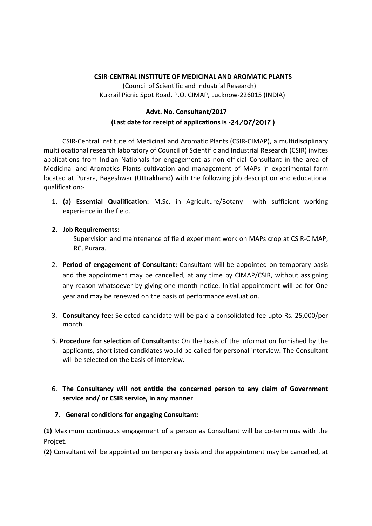### **CSIR‐CENTRAL INSTITUTE OF MEDICINAL AND AROMATIC PLANTS**

(Council of Scientific and Industrial Research) Kukrail Picnic Spot Road, P.O. CIMAP, Lucknow‐226015 (INDIA)

## **Advt. No. Consultant/2017 (Last date for receipt of applications is ‐**24/07**/**2017 **)**

CSIR‐Central Institute of Medicinal and Aromatic Plants (CSIR‐CIMAP), a multidisciplinary multilocational research laboratory of Council of Scientific and Industrial Research (CSIR) invites applications from Indian Nationals for engagement as non-official Consultant in the area of Medicinal and Aromatics Plants cultivation and management of MAPs in experimental farm located at Purara, Bageshwar (Uttrakhand) with the following job description and educational qualification:‐

**1. (a) Essential Qualification:** M.Sc. in Agriculture/Botany with sufficient working experience in the field.

### **2. Job Requirements:**

Supervision and maintenance of field experiment work on MAPs crop at CSIR‐CIMAP, RC, Purara.

- 2. **Period of engagement of Consultant:** Consultant will be appointed on temporary basis and the appointment may be cancelled, at any time by CIMAP/CSIR, without assigning any reason whatsoever by giving one month notice. Initial appointment will be for One year and may be renewed on the basis of performance evaluation.
- 3. **Consultancy fee:** Selected candidate will be paid a consolidated fee upto Rs. 25,000/per month.
- 5. **Procedure for selection of Consultants:** On the basis of the information furnished by the applicants, shortlisted candidates would be called for personal interview**.** The Consultant will be selected on the basis of interview.

## 6. **The Consultancy will not entitle the concerned person to any claim of Government service and/ or CSIR service, in any manner**

## **7. General conditions for engaging Consultant:**

**(1)** Maximum continuous engagement of a person as Consultant will be co‐terminus with the Projcet.

(**2**) Consultant will be appointed on temporary basis and the appointment may be cancelled, at